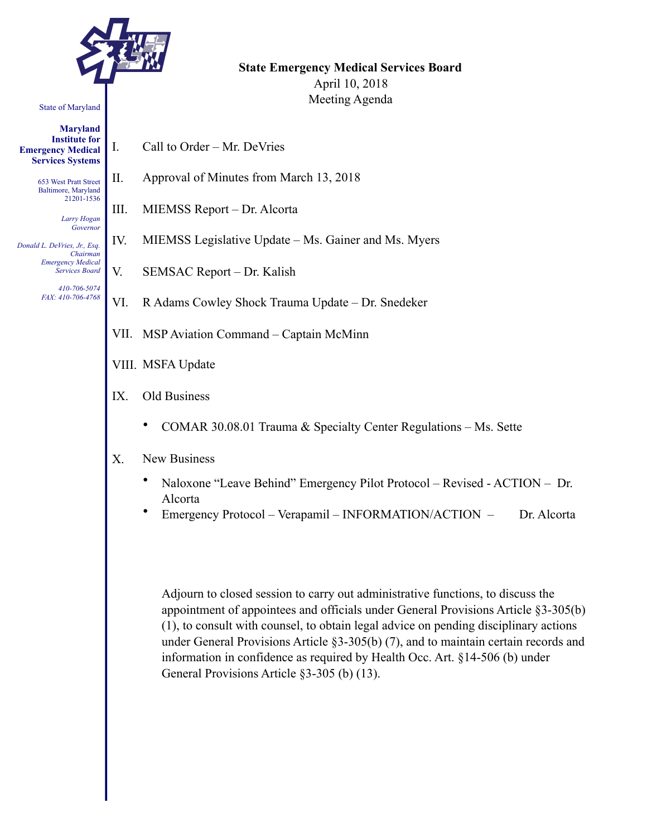

#### State of Maryland

**Maryland Institute for Emergency Medical Services Systems** 

> 653 West Pratt Street Baltimore, Maryland 21201-1536

> > *Larry Hogan Governor*

*Donald L. DeVries, Jr., Esq. Chairman Emergency Medical Services Board* 

> *410-706-5074 FAX: 410-706-4768*

**State Emergency Medical Services Board**  April 10, 2018 Meeting Agenda

- I. Call to Order Mr. DeVries
- II. Approval of Minutes from March 13, 2018
- III. MIEMSS Report Dr. Alcorta
- IV. MIEMSS Legislative Update Ms. Gainer and Ms. Myers
- V. SEMSAC Report Dr. Kalish
- VI. R Adams Cowley Shock Trauma Update Dr. Snedeker
- VII. MSP Aviation Command Captain McMinn
- VIII. MSFA Update
- IX. Old Business
	- COMAR 30.08.01 Trauma & Specialty Center Regulations Ms. Sette
- X. New Business
	- Naloxone "Leave Behind" Emergency Pilot Protocol Revised ACTION Dr. Alcorta
	- Emergency Protocol Verapamil INFORMATION/ACTION Dr. Alcorta

Adjourn to closed session to carry out administrative functions, to discuss the appointment of appointees and officials under General Provisions Article §3-305(b) (1), to consult with counsel, to obtain legal advice on pending disciplinary actions under General Provisions Article §3-305(b) (7), and to maintain certain records and information in confidence as required by Health Occ. Art. §14-506 (b) under General Provisions Article §3-305 (b) (13).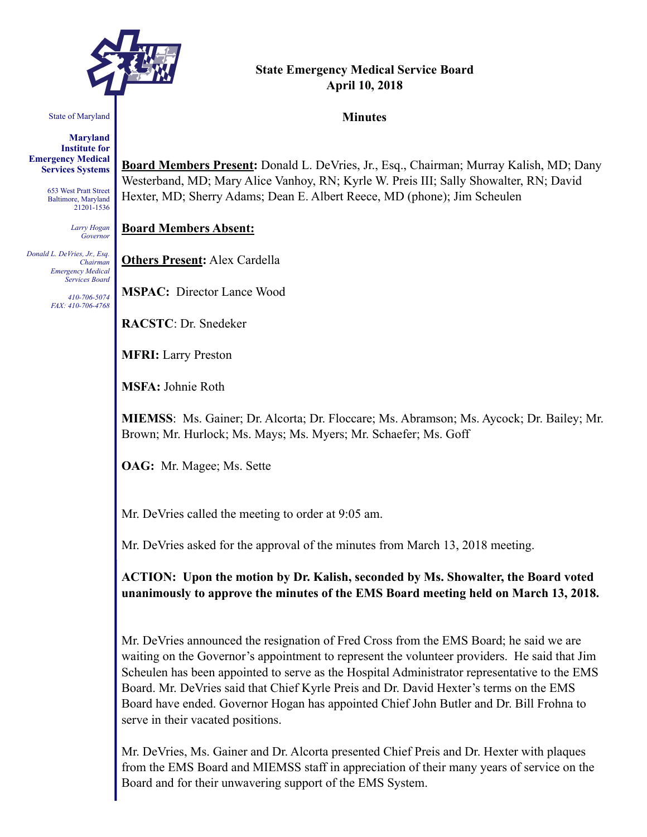

# **State Emergency Medical Service Board April 10, 2018**

#### State of Maryland

**Maryland Institute for Emergency Medical Services Systems** 

> 653 West Pratt Street Baltimore, Maryland 21201-1536

> > *Larry Hogan Governor*

*Donald L. DeVries, Jr., Esq. Chairman Emergency Medical Services Board* 

> *410-706-5074 FAX: 410-706-4768*

**Board Members Present:** Donald L. DeVries, Jr., Esq., Chairman; Murray Kalish, MD; Dany Westerband, MD; Mary Alice Vanhoy, RN; Kyrle W. Preis III; Sally Showalter, RN; David Hexter, MD; Sherry Adams; Dean E. Albert Reece, MD (phone); Jim Scheulen

#### **Board Members Absent:**

**Others Present:** Alex Cardella

**MSPAC:** Director Lance Wood

**RACSTC**: Dr. Snedeker

**MFRI:** Larry Preston

**MSFA:** Johnie Roth

**MIEMSS**: Ms. Gainer; Dr. Alcorta; Dr. Floccare; Ms. Abramson; Ms. Aycock; Dr. Bailey; Mr. Brown; Mr. Hurlock; Ms. Mays; Ms. Myers; Mr. Schaefer; Ms. Goff

**OAG:** Mr. Magee; Ms. Sette

Mr. DeVries called the meeting to order at 9:05 am.

Mr. DeVries asked for the approval of the minutes from March 13, 2018 meeting.

**ACTION: Upon the motion by Dr. Kalish, seconded by Ms. Showalter, the Board voted unanimously to approve the minutes of the EMS Board meeting held on March 13, 2018.** 

Mr. DeVries announced the resignation of Fred Cross from the EMS Board; he said we are waiting on the Governor's appointment to represent the volunteer providers. He said that Jim Scheulen has been appointed to serve as the Hospital Administrator representative to the EMS Board. Mr. DeVries said that Chief Kyrle Preis and Dr. David Hexter's terms on the EMS Board have ended. Governor Hogan has appointed Chief John Butler and Dr. Bill Frohna to serve in their vacated positions.

Mr. DeVries, Ms. Gainer and Dr. Alcorta presented Chief Preis and Dr. Hexter with plaques from the EMS Board and MIEMSS staff in appreciation of their many years of service on the Board and for their unwavering support of the EMS System.

**Minutes**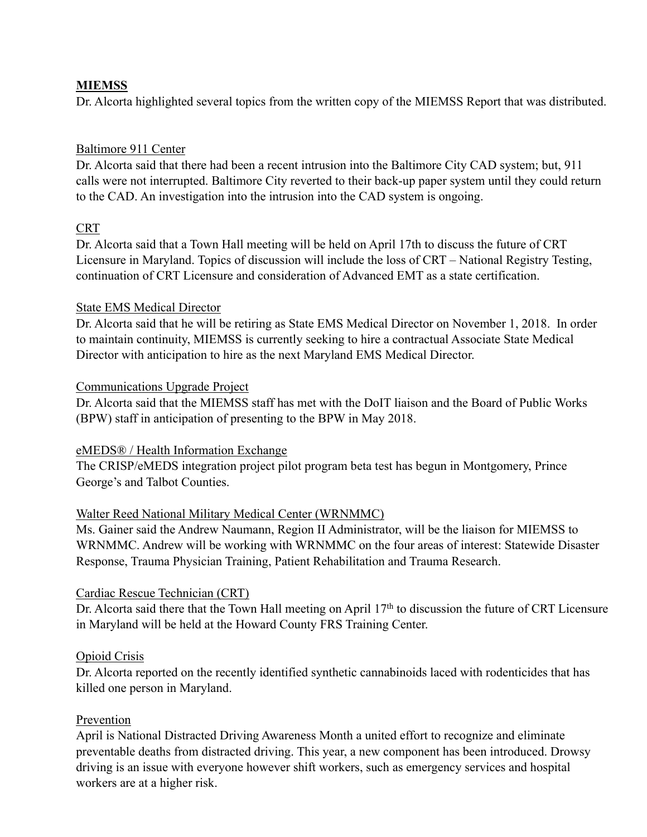# **MIEMSS**

Dr. Alcorta highlighted several topics from the written copy of the MIEMSS Report that was distributed.

# Baltimore 911 Center

Dr. Alcorta said that there had been a recent intrusion into the Baltimore City CAD system; but, 911 calls were not interrupted. Baltimore City reverted to their back-up paper system until they could return to the CAD. An investigation into the intrusion into the CAD system is ongoing.

# **CRT**

Dr. Alcorta said that a Town Hall meeting will be held on April 17th to discuss the future of CRT Licensure in Maryland. Topics of discussion will include the loss of CRT – National Registry Testing, continuation of CRT Licensure and consideration of Advanced EMT as a state certification.

# State EMS Medical Director

Dr. Alcorta said that he will be retiring as State EMS Medical Director on November 1, 2018. In order to maintain continuity, MIEMSS is currently seeking to hire a contractual Associate State Medical Director with anticipation to hire as the next Maryland EMS Medical Director.

#### Communications Upgrade Project

Dr. Alcorta said that the MIEMSS staff has met with the DoIT liaison and the Board of Public Works (BPW) staff in anticipation of presenting to the BPW in May 2018.

# eMEDS® / Health Information Exchange

The CRISP/eMEDS integration project pilot program beta test has begun in Montgomery, Prince George's and Talbot Counties.

# Walter Reed National Military Medical Center (WRNMMC)

Ms. Gainer said the Andrew Naumann, Region II Administrator, will be the liaison for MIEMSS to WRNMMC. Andrew will be working with WRNMMC on the four areas of interest: Statewide Disaster Response, Trauma Physician Training, Patient Rehabilitation and Trauma Research.

# Cardiac Rescue Technician (CRT)

Dr. Alcorta said there that the Town Hall meeting on April 17<sup>th</sup> to discussion the future of CRT Licensure in Maryland will be held at the Howard County FRS Training Center.

# Opioid Crisis

Dr. Alcorta reported on the recently identified synthetic cannabinoids laced with rodenticides that has killed one person in Maryland.

#### Prevention

April is National Distracted Driving Awareness Month a united effort to recognize and eliminate preventable deaths from distracted driving. This year, a new component has been introduced. Drowsy driving is an issue with everyone however shift workers, such as emergency services and hospital workers are at a higher risk.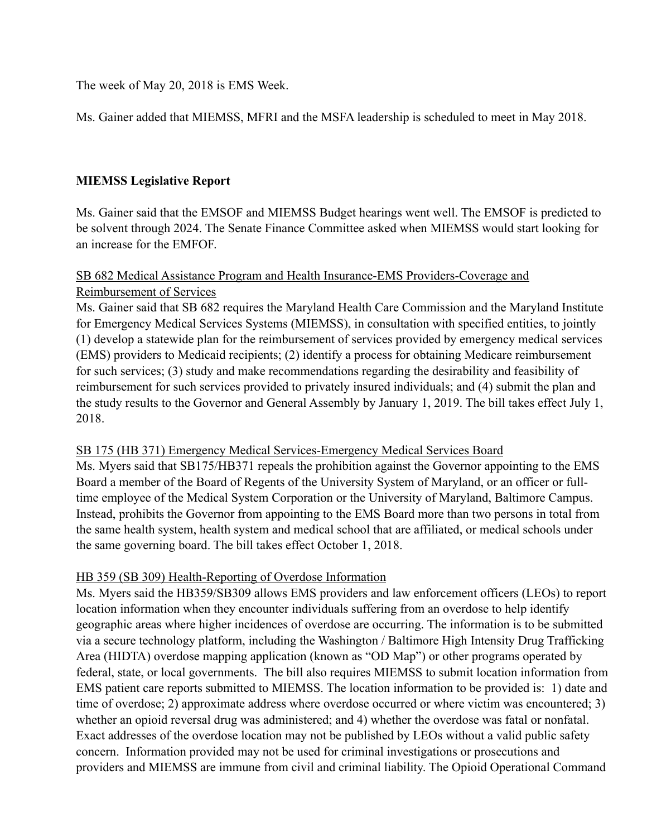The week of May 20, 2018 is EMS Week.

Ms. Gainer added that MIEMSS, MFRI and the MSFA leadership is scheduled to meet in May 2018.

# **MIEMSS Legislative Report**

Ms. Gainer said that the EMSOF and MIEMSS Budget hearings went well. The EMSOF is predicted to be solvent through 2024. The Senate Finance Committee asked when MIEMSS would start looking for an increase for the EMFOF.

# SB 682 Medical Assistance Program and Health Insurance-EMS Providers-Coverage and Reimbursement of Services

Ms. Gainer said that SB 682 requires the Maryland Health Care Commission and the Maryland Institute for Emergency Medical Services Systems (MIEMSS), in consultation with specified entities, to jointly (1) develop a statewide plan for the reimbursement of services provided by emergency medical services (EMS) providers to Medicaid recipients; (2) identify a process for obtaining Medicare reimbursement for such services; (3) study and make recommendations regarding the desirability and feasibility of reimbursement for such services provided to privately insured individuals; and (4) submit the plan and the study results to the Governor and General Assembly by January 1, 2019. The bill takes effect July 1, 2018.

# SB 175 (HB 371) Emergency Medical Services-Emergency Medical Services Board

Ms. Myers said that SB175/HB371 repeals the prohibition against the Governor appointing to the EMS Board a member of the Board of Regents of the University System of Maryland, or an officer or fulltime employee of the Medical System Corporation or the University of Maryland, Baltimore Campus. Instead, prohibits the Governor from appointing to the EMS Board more than two persons in total from the same health system, health system and medical school that are affiliated, or medical schools under the same governing board. The bill takes effect October 1, 2018.

# HB 359 (SB 309) Health-Reporting of Overdose Information

Ms. Myers said the HB359/SB309 allows EMS providers and law enforcement officers (LEOs) to report location information when they encounter individuals suffering from an overdose to help identify geographic areas where higher incidences of overdose are occurring. The information is to be submitted via a secure technology platform, including the Washington / Baltimore High Intensity Drug Trafficking Area (HIDTA) overdose mapping application (known as "OD Map") or other programs operated by federal, state, or local governments. The bill also requires MIEMSS to submit location information from EMS patient care reports submitted to MIEMSS. The location information to be provided is: 1) date and time of overdose; 2) approximate address where overdose occurred or where victim was encountered; 3) whether an opioid reversal drug was administered; and 4) whether the overdose was fatal or nonfatal. Exact addresses of the overdose location may not be published by LEOs without a valid public safety concern. Information provided may not be used for criminal investigations or prosecutions and providers and MIEMSS are immune from civil and criminal liability. The Opioid Operational Command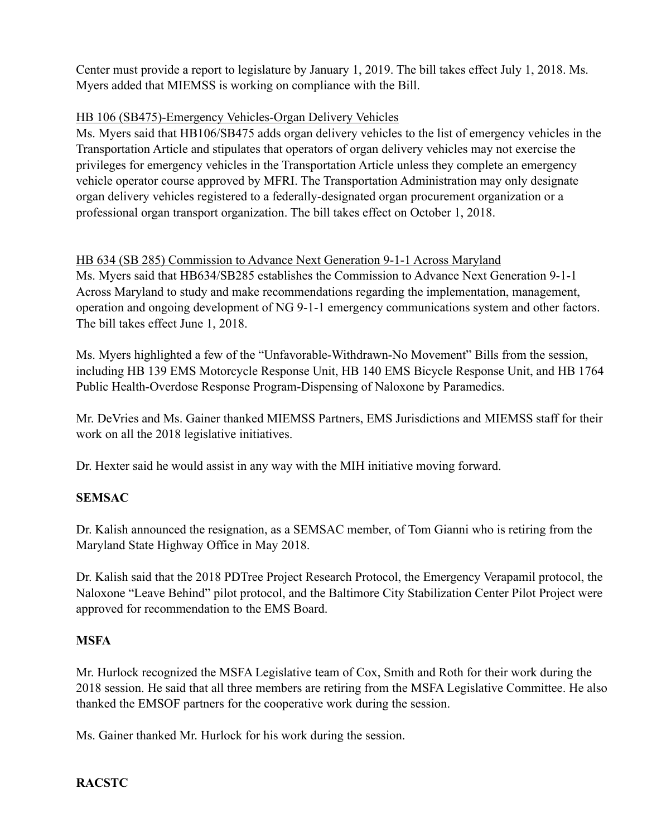Center must provide a report to legislature by January 1, 2019. The bill takes effect July 1, 2018. Ms. Myers added that MIEMSS is working on compliance with the Bill.

# HB 106 (SB475)-Emergency Vehicles-Organ Delivery Vehicles

Ms. Myers said that HB106/SB475 adds organ delivery vehicles to the list of emergency vehicles in the Transportation Article and stipulates that operators of organ delivery vehicles may not exercise the privileges for emergency vehicles in the Transportation Article unless they complete an emergency vehicle operator course approved by MFRI. The Transportation Administration may only designate organ delivery vehicles registered to a federally-designated organ procurement organization or a professional organ transport organization. The bill takes effect on October 1, 2018.

# HB 634 (SB 285) Commission to Advance Next Generation 9-1-1 Across Maryland

Ms. Myers said that HB634/SB285 establishes the Commission to Advance Next Generation 9-1-1 Across Maryland to study and make recommendations regarding the implementation, management, operation and ongoing development of NG 9-1-1 emergency communications system and other factors. The bill takes effect June 1, 2018.

Ms. Myers highlighted a few of the "Unfavorable-Withdrawn-No Movement" Bills from the session, including HB 139 EMS Motorcycle Response Unit, HB 140 EMS Bicycle Response Unit, and HB 1764 Public Health-Overdose Response Program-Dispensing of Naloxone by Paramedics.

Mr. DeVries and Ms. Gainer thanked MIEMSS Partners, EMS Jurisdictions and MIEMSS staff for their work on all the 2018 legislative initiatives.

Dr. Hexter said he would assist in any way with the MIH initiative moving forward.

# **SEMSAC**

Dr. Kalish announced the resignation, as a SEMSAC member, of Tom Gianni who is retiring from the Maryland State Highway Office in May 2018.

Dr. Kalish said that the 2018 PDTree Project Research Protocol, the Emergency Verapamil protocol, the Naloxone "Leave Behind" pilot protocol, and the Baltimore City Stabilization Center Pilot Project were approved for recommendation to the EMS Board.

# **MSFA**

Mr. Hurlock recognized the MSFA Legislative team of Cox, Smith and Roth for their work during the 2018 session. He said that all three members are retiring from the MSFA Legislative Committee. He also thanked the EMSOF partners for the cooperative work during the session.

Ms. Gainer thanked Mr. Hurlock for his work during the session.

# **RACSTC**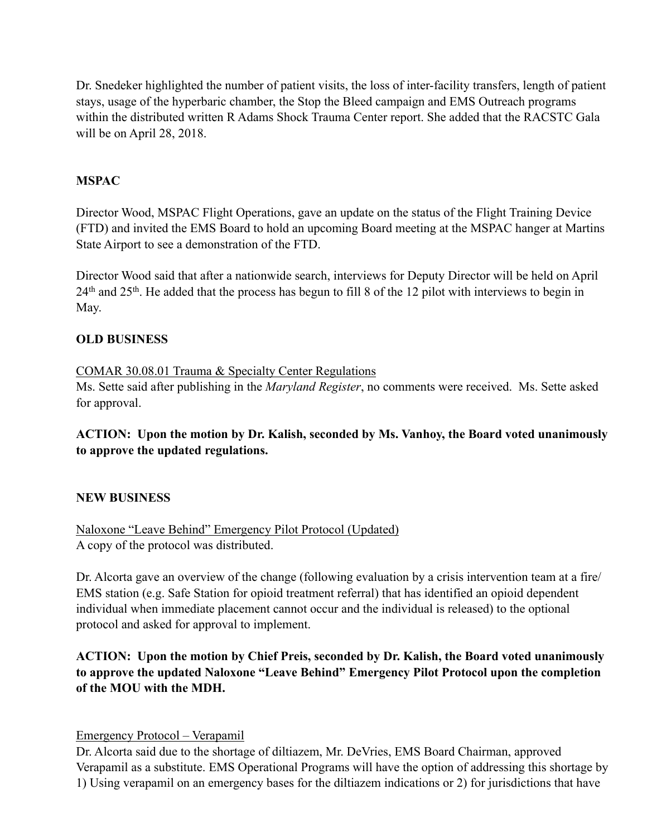Dr. Snedeker highlighted the number of patient visits, the loss of inter-facility transfers, length of patient stays, usage of the hyperbaric chamber, the Stop the Bleed campaign and EMS Outreach programs within the distributed written R Adams Shock Trauma Center report. She added that the RACSTC Gala will be on April 28, 2018.

#### **MSPAC**

Director Wood, MSPAC Flight Operations, gave an update on the status of the Flight Training Device (FTD) and invited the EMS Board to hold an upcoming Board meeting at the MSPAC hanger at Martins State Airport to see a demonstration of the FTD.

Director Wood said that after a nationwide search, interviews for Deputy Director will be held on April 24th and 25th. He added that the process has begun to fill 8 of the 12 pilot with interviews to begin in May.

#### **OLD BUSINESS**

#### COMAR 30.08.01 Trauma & Specialty Center Regulations

Ms. Sette said after publishing in the *Maryland Register*, no comments were received. Ms. Sette asked for approval.

**ACTION: Upon the motion by Dr. Kalish, seconded by Ms. Vanhoy, the Board voted unanimously to approve the updated regulations.**

#### **NEW BUSINESS**

Naloxone "Leave Behind" Emergency Pilot Protocol (Updated) A copy of the protocol was distributed.

Dr. Alcorta gave an overview of the change (following evaluation by a crisis intervention team at a fire/ EMS station (e.g. Safe Station for opioid treatment referral) that has identified an opioid dependent individual when immediate placement cannot occur and the individual is released) to the optional protocol and asked for approval to implement.

**ACTION: Upon the motion by Chief Preis, seconded by Dr. Kalish, the Board voted unanimously to approve the updated Naloxone "Leave Behind" Emergency Pilot Protocol upon the completion of the MOU with the MDH.** 

Emergency Protocol – Verapamil

Dr. Alcorta said due to the shortage of diltiazem, Mr. DeVries, EMS Board Chairman, approved Verapamil as a substitute. EMS Operational Programs will have the option of addressing this shortage by 1) Using verapamil on an emergency bases for the diltiazem indications or 2) for jurisdictions that have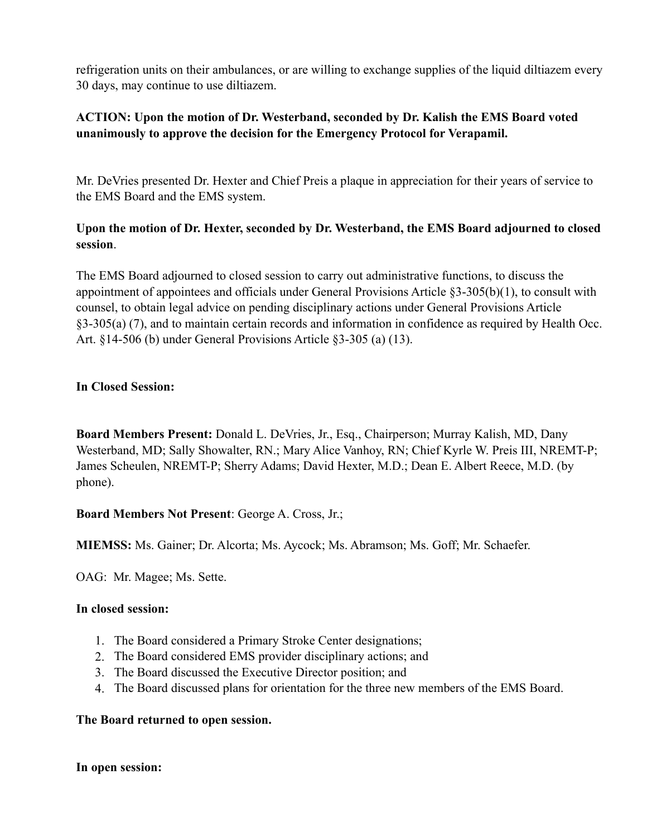refrigeration units on their ambulances, or are willing to exchange supplies of the liquid diltiazem every 30 days, may continue to use diltiazem.

# **ACTION: Upon the motion of Dr. Westerband, seconded by Dr. Kalish the EMS Board voted unanimously to approve the decision for the Emergency Protocol for Verapamil.**

Mr. DeVries presented Dr. Hexter and Chief Preis a plaque in appreciation for their years of service to the EMS Board and the EMS system.

# **Upon the motion of Dr. Hexter, seconded by Dr. Westerband, the EMS Board adjourned to closed session**.

The EMS Board adjourned to closed session to carry out administrative functions, to discuss the appointment of appointees and officials under General Provisions Article §3-305(b)(1), to consult with counsel, to obtain legal advice on pending disciplinary actions under General Provisions Article §3-305(a) (7), and to maintain certain records and information in confidence as required by Health Occ. Art. §14-506 (b) under General Provisions Article §3-305 (a) (13).

# **In Closed Session:**

**Board Members Present:** Donald L. DeVries, Jr., Esq., Chairperson; Murray Kalish, MD, Dany Westerband, MD; Sally Showalter, RN.; Mary Alice Vanhoy, RN; Chief Kyrle W. Preis III, NREMT-P; James Scheulen, NREMT-P; Sherry Adams; David Hexter, M.D.; Dean E. Albert Reece, M.D. (by phone).

# **Board Members Not Present**: George A. Cross, Jr.;

**MIEMSS:** Ms. Gainer; Dr. Alcorta; Ms. Aycock; Ms. Abramson; Ms. Goff; Mr. Schaefer.

OAG: Mr. Magee; Ms. Sette.

# **In closed session:**

- 1. The Board considered a Primary Stroke Center designations;
- 2. The Board considered EMS provider disciplinary actions; and
- 3. The Board discussed the Executive Director position; and
- 4. The Board discussed plans for orientation for the three new members of the EMS Board.

# **The Board returned to open session.**

**In open session:**